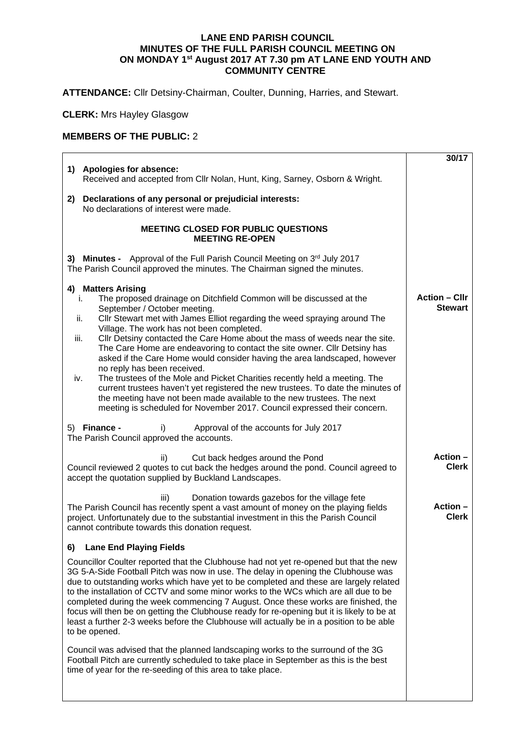## **LANE END PARISH COUNCIL MINUTES OF THE FULL PARISH COUNCIL MEETING ON ON MONDAY 1st August 2017 AT 7.30 pm AT LANE END YOUTH AND COMMUNITY CENTRE**

**ATTENDANCE:** Cllr Detsiny-Chairman, Coulter, Dunning, Harries, and Stewart.

**CLERK:** Mrs Hayley Glasgow

## **MEMBERS OF THE PUBLIC:** 2

|                                                                                                                                                                                                                                                                                                                                                                                                                                                                                                                                                                                                                                                                                                                                                                                                                                                                                 | 30/17                                  |
|---------------------------------------------------------------------------------------------------------------------------------------------------------------------------------------------------------------------------------------------------------------------------------------------------------------------------------------------------------------------------------------------------------------------------------------------------------------------------------------------------------------------------------------------------------------------------------------------------------------------------------------------------------------------------------------------------------------------------------------------------------------------------------------------------------------------------------------------------------------------------------|----------------------------------------|
| 1) Apologies for absence:<br>Received and accepted from Cllr Nolan, Hunt, King, Sarney, Osborn & Wright.                                                                                                                                                                                                                                                                                                                                                                                                                                                                                                                                                                                                                                                                                                                                                                        |                                        |
| Declarations of any personal or prejudicial interests:<br>2)<br>No declarations of interest were made.                                                                                                                                                                                                                                                                                                                                                                                                                                                                                                                                                                                                                                                                                                                                                                          |                                        |
| <b>MEETING CLOSED FOR PUBLIC QUESTIONS</b><br><b>MEETING RE-OPEN</b>                                                                                                                                                                                                                                                                                                                                                                                                                                                                                                                                                                                                                                                                                                                                                                                                            |                                        |
| 3) Minutes - Approval of the Full Parish Council Meeting on 3rd July 2017<br>The Parish Council approved the minutes. The Chairman signed the minutes.                                                                                                                                                                                                                                                                                                                                                                                                                                                                                                                                                                                                                                                                                                                          |                                        |
| 4) Matters Arising<br>The proposed drainage on Ditchfield Common will be discussed at the<br>i.<br>September / October meeting.<br>Cllr Stewart met with James Elliot regarding the weed spraying around The<br>ii.<br>Village. The work has not been completed.<br>Cllr Detsiny contacted the Care Home about the mass of weeds near the site.<br>iii.<br>The Care Home are endeavoring to contact the site owner. Cllr Detsiny has<br>asked if the Care Home would consider having the area landscaped, however<br>no reply has been received.<br>The trustees of the Mole and Picket Charities recently held a meeting. The<br>iv.<br>current trustees haven't yet registered the new trustees. To date the minutes of<br>the meeting have not been made available to the new trustees. The next<br>meeting is scheduled for November 2017. Council expressed their concern. | <b>Action – Cllr</b><br><b>Stewart</b> |
| 5) Finance -<br>i)<br>Approval of the accounts for July 2017<br>The Parish Council approved the accounts.                                                                                                                                                                                                                                                                                                                                                                                                                                                                                                                                                                                                                                                                                                                                                                       |                                        |
| ii)<br>Cut back hedges around the Pond<br>Council reviewed 2 quotes to cut back the hedges around the pond. Council agreed to<br>accept the quotation supplied by Buckland Landscapes.                                                                                                                                                                                                                                                                                                                                                                                                                                                                                                                                                                                                                                                                                          | Action-<br><b>Clerk</b>                |
| Donation towards gazebos for the village fete<br>iii)<br>The Parish Council has recently spent a vast amount of money on the playing fields<br>project. Unfortunately due to the substantial investment in this the Parish Council<br>cannot contribute towards this donation request.                                                                                                                                                                                                                                                                                                                                                                                                                                                                                                                                                                                          | Action -<br><b>Clerk</b>               |
| <b>Lane End Playing Fields</b><br>6)                                                                                                                                                                                                                                                                                                                                                                                                                                                                                                                                                                                                                                                                                                                                                                                                                                            |                                        |
| Councillor Coulter reported that the Clubhouse had not yet re-opened but that the new<br>3G 5-A-Side Football Pitch was now in use. The delay in opening the Clubhouse was<br>due to outstanding works which have yet to be completed and these are largely related<br>to the installation of CCTV and some minor works to the WCs which are all due to be<br>completed during the week commencing 7 August. Once these works are finished, the<br>focus will then be on getting the Clubhouse ready for re-opening but it is likely to be at<br>least a further 2-3 weeks before the Clubhouse will actually be in a position to be able<br>to be opened.                                                                                                                                                                                                                      |                                        |
| Council was advised that the planned landscaping works to the surround of the 3G<br>Football Pitch are currently scheduled to take place in September as this is the best<br>time of year for the re-seeding of this area to take place.                                                                                                                                                                                                                                                                                                                                                                                                                                                                                                                                                                                                                                        |                                        |
|                                                                                                                                                                                                                                                                                                                                                                                                                                                                                                                                                                                                                                                                                                                                                                                                                                                                                 |                                        |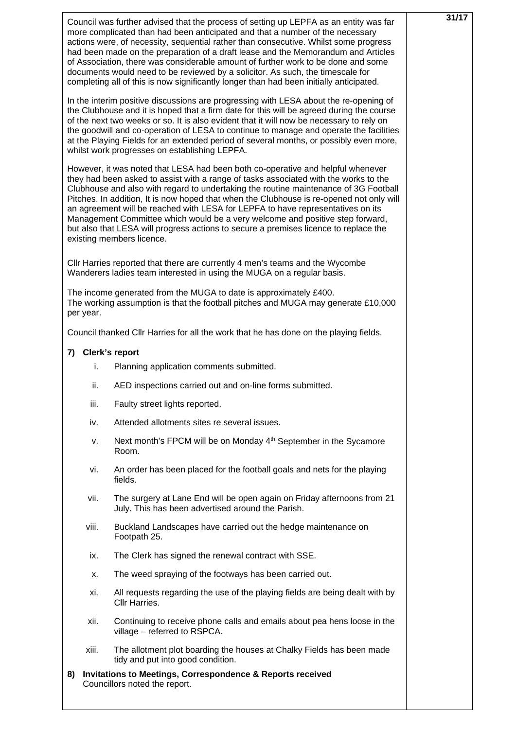|                   | Council was further advised that the process of setting up LEPFA as an entity was far<br>more complicated than had been anticipated and that a number of the necessary<br>actions were, of necessity, sequential rather than consecutive. Whilst some progress<br>had been made on the preparation of a draft lease and the Memorandum and Articles<br>of Association, there was considerable amount of further work to be done and some<br>documents would need to be reviewed by a solicitor. As such, the timescale for<br>completing all of this is now significantly longer than had been initially anticipated.                                | 31/17 |
|-------------------|------------------------------------------------------------------------------------------------------------------------------------------------------------------------------------------------------------------------------------------------------------------------------------------------------------------------------------------------------------------------------------------------------------------------------------------------------------------------------------------------------------------------------------------------------------------------------------------------------------------------------------------------------|-------|
|                   | In the interim positive discussions are progressing with LESA about the re-opening of<br>the Clubhouse and it is hoped that a firm date for this will be agreed during the course<br>of the next two weeks or so. It is also evident that it will now be necessary to rely on<br>the goodwill and co-operation of LESA to continue to manage and operate the facilities<br>at the Playing Fields for an extended period of several months, or possibly even more,<br>whilst work progresses on establishing LEPFA.                                                                                                                                   |       |
|                   | However, it was noted that LESA had been both co-operative and helpful whenever<br>they had been asked to assist with a range of tasks associated with the works to the<br>Clubhouse and also with regard to undertaking the routine maintenance of 3G Football<br>Pitches. In addition, It is now hoped that when the Clubhouse is re-opened not only will<br>an agreement will be reached with LESA for LEPFA to have representatives on its<br>Management Committee which would be a very welcome and positive step forward,<br>but also that LESA will progress actions to secure a premises licence to replace the<br>existing members licence. |       |
|                   | Cllr Harries reported that there are currently 4 men's teams and the Wycombe<br>Wanderers ladies team interested in using the MUGA on a regular basis.                                                                                                                                                                                                                                                                                                                                                                                                                                                                                               |       |
| per year.         | The income generated from the MUGA to date is approximately £400.<br>The working assumption is that the football pitches and MUGA may generate £10,000                                                                                                                                                                                                                                                                                                                                                                                                                                                                                               |       |
|                   | Council thanked Cllr Harries for all the work that he has done on the playing fields.                                                                                                                                                                                                                                                                                                                                                                                                                                                                                                                                                                |       |
| 7) Clerk's report |                                                                                                                                                                                                                                                                                                                                                                                                                                                                                                                                                                                                                                                      |       |
| i.                | Planning application comments submitted.                                                                                                                                                                                                                                                                                                                                                                                                                                                                                                                                                                                                             |       |
| ii.               | AED inspections carried out and on-line forms submitted.                                                                                                                                                                                                                                                                                                                                                                                                                                                                                                                                                                                             |       |
| iii.              | Faulty street lights reported.                                                                                                                                                                                                                                                                                                                                                                                                                                                                                                                                                                                                                       |       |
| iv.               | Attended allotments sites re several issues.                                                                                                                                                                                                                                                                                                                                                                                                                                                                                                                                                                                                         |       |
| ν.                | Next month's FPCM will be on Monday 4 <sup>th</sup> September in the Sycamore<br>Room.                                                                                                                                                                                                                                                                                                                                                                                                                                                                                                                                                               |       |
| vi.               | An order has been placed for the football goals and nets for the playing<br>fields.                                                                                                                                                                                                                                                                                                                                                                                                                                                                                                                                                                  |       |
| vii.              | The surgery at Lane End will be open again on Friday afternoons from 21<br>July. This has been advertised around the Parish.                                                                                                                                                                                                                                                                                                                                                                                                                                                                                                                         |       |
| viii.             | Buckland Landscapes have carried out the hedge maintenance on<br>Footpath 25.                                                                                                                                                                                                                                                                                                                                                                                                                                                                                                                                                                        |       |
| ix.               | The Clerk has signed the renewal contract with SSE.                                                                                                                                                                                                                                                                                                                                                                                                                                                                                                                                                                                                  |       |
| х.                | The weed spraying of the footways has been carried out.                                                                                                                                                                                                                                                                                                                                                                                                                                                                                                                                                                                              |       |
| xi.               | All requests regarding the use of the playing fields are being dealt with by<br>Cllr Harries.                                                                                                                                                                                                                                                                                                                                                                                                                                                                                                                                                        |       |
| xii.              | Continuing to receive phone calls and emails about pea hens loose in the<br>village - referred to RSPCA.                                                                                                                                                                                                                                                                                                                                                                                                                                                                                                                                             |       |
| xiii.             | The allotment plot boarding the houses at Chalky Fields has been made<br>tidy and put into good condition.                                                                                                                                                                                                                                                                                                                                                                                                                                                                                                                                           |       |
| 8)                | <b>Invitations to Meetings, Correspondence &amp; Reports received</b><br>Councillors noted the report.                                                                                                                                                                                                                                                                                                                                                                                                                                                                                                                                               |       |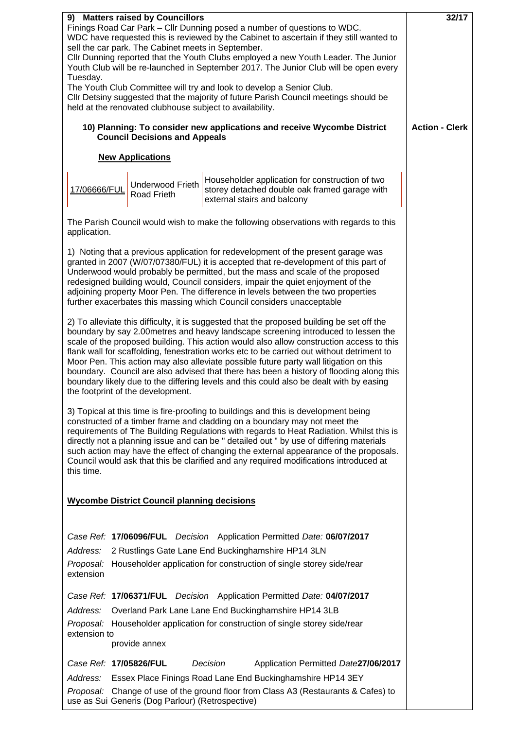| 9) Matters raised by Councillors                                         | 32/17                                                                                                                                                                           |                       |
|--------------------------------------------------------------------------|---------------------------------------------------------------------------------------------------------------------------------------------------------------------------------|-----------------------|
| Finings Road Car Park - Cllr Dunning posed a number of questions to WDC. |                                                                                                                                                                                 |                       |
|                                                                          | WDC have requested this is reviewed by the Cabinet to ascertain if they still wanted to<br>sell the car park. The Cabinet meets in September.                                   |                       |
|                                                                          | Cllr Dunning reported that the Youth Clubs employed a new Youth Leader. The Junior                                                                                              |                       |
|                                                                          | Youth Club will be re-launched in September 2017. The Junior Club will be open every                                                                                            |                       |
| Tuesday.                                                                 |                                                                                                                                                                                 |                       |
|                                                                          | The Youth Club Committee will try and look to develop a Senior Club.                                                                                                            |                       |
|                                                                          | Cllr Detsiny suggested that the majority of future Parish Council meetings should be<br>held at the renovated clubhouse subject to availability.                                |                       |
|                                                                          |                                                                                                                                                                                 |                       |
|                                                                          | 10) Planning: To consider new applications and receive Wycombe District                                                                                                         | <b>Action - Clerk</b> |
|                                                                          | <b>Council Decisions and Appeals</b>                                                                                                                                            |                       |
|                                                                          | <b>New Applications</b>                                                                                                                                                         |                       |
|                                                                          |                                                                                                                                                                                 |                       |
|                                                                          | Householder application for construction of two<br><b>Underwood Frieth</b>                                                                                                      |                       |
| 17/06666/FUL                                                             | storey detached double oak framed garage with<br>Road Frieth                                                                                                                    |                       |
|                                                                          | external stairs and balcony                                                                                                                                                     |                       |
|                                                                          | The Parish Council would wish to make the following observations with regards to this                                                                                           |                       |
| application.                                                             |                                                                                                                                                                                 |                       |
|                                                                          |                                                                                                                                                                                 |                       |
|                                                                          | 1) Noting that a previous application for redevelopment of the present garage was                                                                                               |                       |
|                                                                          | granted in 2007 (W/07/07380/FUL) it is accepted that re-development of this part of<br>Underwood would probably be permitted, but the mass and scale of the proposed            |                       |
|                                                                          | redesigned building would, Council considers, impair the quiet enjoyment of the                                                                                                 |                       |
|                                                                          | adjoining property Moor Pen. The difference in levels between the two properties                                                                                                |                       |
|                                                                          | further exacerbates this massing which Council considers unacceptable                                                                                                           |                       |
|                                                                          |                                                                                                                                                                                 |                       |
|                                                                          | 2) To alleviate this difficulty, it is suggested that the proposed building be set off the<br>boundary by say 2.00metres and heavy landscape screening introduced to lessen the |                       |
|                                                                          | scale of the proposed building. This action would also allow construction access to this                                                                                        |                       |
|                                                                          | flank wall for scaffolding, fenestration works etc to be carried out without detriment to                                                                                       |                       |
|                                                                          | Moor Pen. This action may also alleviate possible future party wall litigation on this                                                                                          |                       |
|                                                                          | boundary. Council are also advised that there has been a history of flooding along this                                                                                         |                       |
|                                                                          | boundary likely due to the differing levels and this could also be dealt with by easing<br>the footprint of the development.                                                    |                       |
|                                                                          |                                                                                                                                                                                 |                       |
|                                                                          | 3) Topical at this time is fire-proofing to buildings and this is development being                                                                                             |                       |
|                                                                          | constructed of a timber frame and cladding on a boundary may not meet the                                                                                                       |                       |
|                                                                          | requirements of The Building Regulations with regards to Heat Radiation. Whilst this is                                                                                         |                       |
|                                                                          | directly not a planning issue and can be " detailed out " by use of differing materials                                                                                         |                       |
|                                                                          | such action may have the effect of changing the external appearance of the proposals.<br>Council would ask that this be clarified and any required modifications introduced at  |                       |
| this time.                                                               |                                                                                                                                                                                 |                       |
|                                                                          |                                                                                                                                                                                 |                       |
|                                                                          |                                                                                                                                                                                 |                       |
|                                                                          | <b>Wycombe District Council planning decisions</b>                                                                                                                              |                       |
|                                                                          |                                                                                                                                                                                 |                       |
|                                                                          | Case Ref: 17/06096/FUL Decision Application Permitted Date: 06/07/2017                                                                                                          |                       |
| Address:                                                                 | 2 Rustlings Gate Lane End Buckinghamshire HP14 3LN                                                                                                                              |                       |
|                                                                          |                                                                                                                                                                                 |                       |
| Proposal:<br>extension                                                   | Householder application for construction of single storey side/rear                                                                                                             |                       |
|                                                                          |                                                                                                                                                                                 |                       |
|                                                                          | Case Ref: 17/06371/FUL Decision Application Permitted Date: 04/07/2017                                                                                                          |                       |
|                                                                          | Address: Overland Park Lane Lane End Buckinghamshire HP14 3LB                                                                                                                   |                       |
|                                                                          | Proposal: Householder application for construction of single storey side/rear                                                                                                   |                       |
| extension to                                                             |                                                                                                                                                                                 |                       |
|                                                                          | provide annex                                                                                                                                                                   |                       |
| Case Ref: 17/05826/FUL                                                   | Decision<br>Application Permitted Date27/06/2017                                                                                                                                |                       |
|                                                                          | Address: Essex Place Finings Road Lane End Buckinghamshire HP14 3EY                                                                                                             |                       |
|                                                                          | Proposal: Change of use of the ground floor from Class A3 (Restaurants & Cafes) to                                                                                              |                       |
|                                                                          | use as Sui Generis (Dog Parlour) (Retrospective)                                                                                                                                |                       |